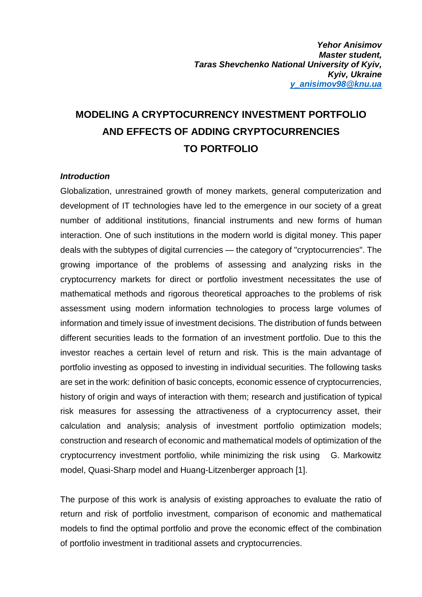# **MODELING A CRYPTOCURRENCY INVESTMENT PORTFOLIO AND EFFECTS OF ADDING CRYPTOCURRENCIES TO PORTFOLIO**

#### *Introduction*

Globalization, unrestrained growth of money markets, general computerization and development of IT technologies have led to the emergence in our society of a great number of additional institutions, financial instruments and new forms of human interaction. One of such institutions in the modern world is digital money. This paper deals with the subtypes of digital currencies — the category of "cryptocurrencies". The growing importance of the problems of assessing and analyzing risks in the cryptocurrency markets for direct or portfolio investment necessitates the use of mathematical methods and rigorous theoretical approaches to the problems of risk assessment using modern information technologies to process large volumes of information and timely issue of investment decisions. The distribution of funds between different securities leads to the formation of an investment portfolio. Due to this the investor reaches a certain level of return and risk. This is the main advantage of portfolio investing as opposed to investing in individual securities. The following tasks are set in the work: definition of basic concepts, economic essence of cryptocurrencies, history of origin and ways of interaction with them; research and justification of typical risk measures for assessing the attractiveness of a cryptocurrency asset, their calculation and analysis; analysis of investment portfolio optimization models; construction and research of economic and mathematical models of optimization of the cryptocurrency investment portfolio, while minimizing the risk using G. Markowitz model, Quasi-Sharp model and Huang-Litzenberger approach [1].

The purpose of this work is analysis of existing approaches to evaluate the ratio of return and risk of portfolio investment, comparison of economic and mathematical models to find the optimal portfolio and prove the economic effect of the combination of portfolio investment in traditional assets and cryptocurrencies.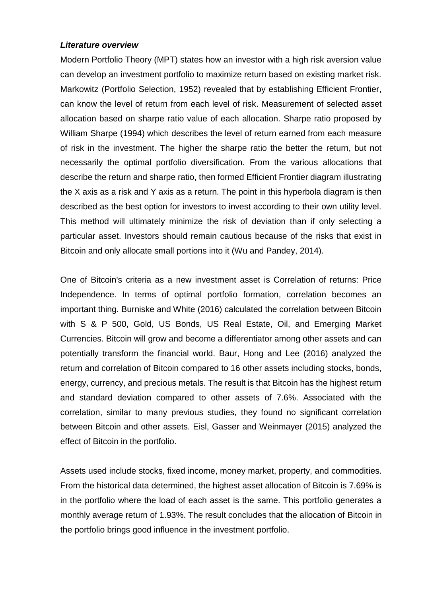#### *Literature overview*

Modern Portfolio Theory (MPT) states how an investor with a high risk aversion value can develop an investment portfolio to maximize return based on existing market risk. Markowitz (Portfolio Selection, 1952) revealed that by establishing Efficient Frontier, can know the level of return from each level of risk. Measurement of selected asset allocation based on sharpe ratio value of each allocation. Sharpe ratio proposed by William Sharpe (1994) which describes the level of return earned from each measure of risk in the investment. The higher the sharpe ratio the better the return, but not necessarily the optimal portfolio diversification. From the various allocations that describe the return and sharpe ratio, then formed Efficient Frontier diagram illustrating the X axis as a risk and Y axis as a return. The point in this hyperbola diagram is then described as the best option for investors to invest according to their own utility level. This method will ultimately minimize the risk of deviation than if only selecting a particular asset. Investors should remain cautious because of the risks that exist in Bitcoin and only allocate small portions into it (Wu and Pandey, 2014).

One of Bitcoin's criteria as a new investment asset is Correlation of returns: Price Independence. In terms of optimal portfolio formation, correlation becomes an important thing. Burniske and White (2016) calculated the correlation between Bitcoin with S & P 500, Gold, US Bonds, US Real Estate, Oil, and Emerging Market Currencies. Bitcoin will grow and become a differentiator among other assets and can potentially transform the financial world. Baur, Hong and Lee (2016) analyzed the return and correlation of Bitcoin compared to 16 other assets including stocks, bonds, energy, currency, and precious metals. The result is that Bitcoin has the highest return and standard deviation compared to other assets of 7.6%. Associated with the correlation, similar to many previous studies, they found no significant correlation between Bitcoin and other assets. Eisl, Gasser and Weinmayer (2015) analyzed the effect of Bitcoin in the portfolio.

Assets used include stocks, fixed income, money market, property, and commodities. From the historical data determined, the highest asset allocation of Bitcoin is 7.69% is in the portfolio where the load of each asset is the same. This portfolio generates a monthly average return of 1.93%. The result concludes that the allocation of Bitcoin in the portfolio brings good influence in the investment portfolio.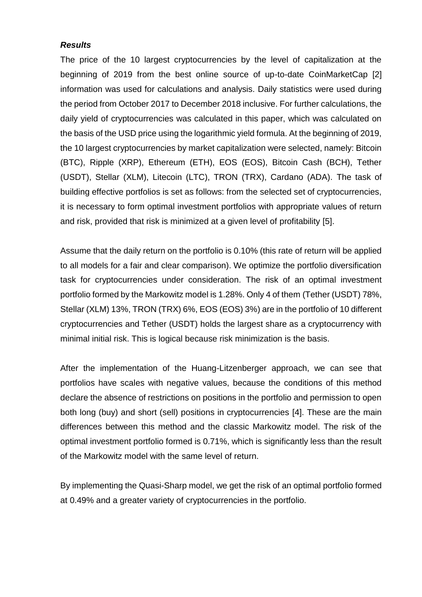#### *Results*

The price of the 10 largest cryptocurrencies by the level of capitalization at the beginning of 2019 from the best online source of up-to-date CoinMarketCap [2] information was used for calculations and analysis. Daily statistics were used during the period from October 2017 to December 2018 inclusive. For further calculations, the daily yield of cryptocurrencies was calculated in this paper, which was calculated on the basis of the USD price using the logarithmic yield formula. At the beginning of 2019, the 10 largest cryptocurrencies by market capitalization were selected, namely: Bitcoin (BTC), Ripple (XRP), Ethereum (ETH), EOS (EOS), Bitcoin Cash (BCH), Tether (USDT), Stellar (XLM), Litecoin (LTC), TRON (TRX), Cardano (ADA). The task of building effective portfolios is set as follows: from the selected set of cryptocurrencies, it is necessary to form optimal investment portfolios with appropriate values of return and risk, provided that risk is minimized at a given level of profitability [5].

Assume that the daily return on the portfolio is 0.10% (this rate of return will be applied to all models for a fair and clear comparison). We optimize the portfolio diversification task for cryptocurrencies under consideration. The risk of an optimal investment portfolio formed by the Markowitz model is 1.28%. Only 4 of them (Tether (USDT) 78%, Stellar (XLM) 13%, TRON (TRX) 6%, EOS (EOS) 3%) are in the portfolio of 10 different cryptocurrencies and Tether (USDT) holds the largest share as a cryptocurrency with minimal initial risk. This is logical because risk minimization is the basis.

After the implementation of the Huang-Litzenberger approach, we can see that portfolios have scales with negative values, because the conditions of this method declare the absence of restrictions on positions in the portfolio and permission to open both long (buy) and short (sell) positions in cryptocurrencies [4]. These are the main differences between this method and the classic Markowitz model. The risk of the optimal investment portfolio formed is 0.71%, which is significantly less than the result of the Markowitz model with the same level of return.

By implementing the Quasi-Sharp model, we get the risk of an optimal portfolio formed at 0.49% and a greater variety of cryptocurrencies in the portfolio.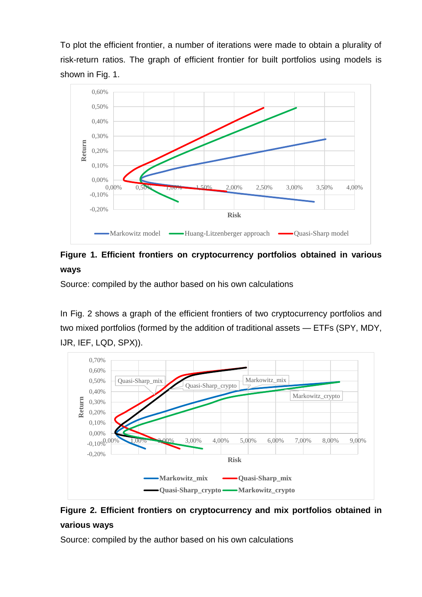To plot the efficient frontier, a number of iterations were made to obtain a plurality of risk-return ratios. The graph of efficient frontier for built portfolios using models is shown in Fig. 1.



**Figure 1. Efficient frontiers on cryptocurrency portfolios obtained in various ways**

Source: compiled by the author based on his own calculations

In Fig. 2 shows a graph of the efficient frontiers of two cryptocurrency portfolios and two mixed portfolios (formed by the addition of traditional assets — ETFs (SPY, MDY, IJR, IEF, LQD, SPX)).



# **Figure 2. Efficient frontiers on cryptocurrency and mix portfolios obtained in various ways**

Source: compiled by the author based on his own calculations